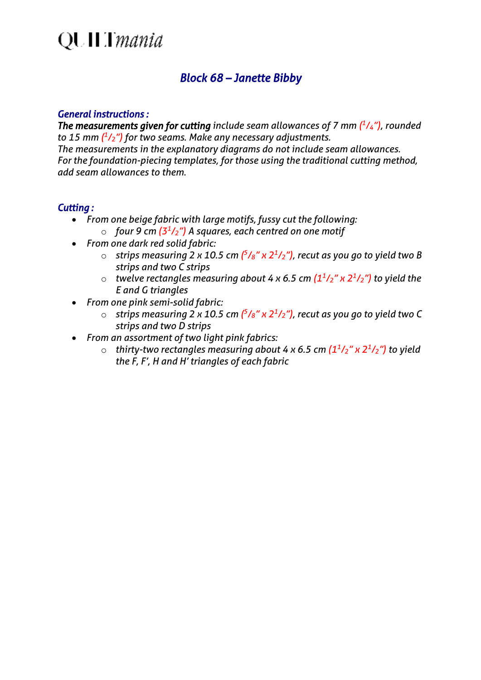### **QUILT** mania

### *Block 68 – Janette Bibby*

#### *General instructions :*

*The measurements given for cutting include seam allowances of 7 mm ( 1 /4"), rounded to 15 mm ( 1 /2") for two seams. Make any necessary adjustments. The measurements in the explanatory diagrams do not include seam allowances. For the foundation-piecing templates, for those using the traditional cutting method, add seam allowances to them.*

### *Cutting :*

- *From one beige fabric with large motifs, fussy cut the following:*
	- o *four 9 cm (3<sup>1</sup> /2") A squares, each centred on one motif*
- *From one dark red solid fabric:*
	- o *strips measuring 2 x 10.5 cm ( 5 /8" x 2<sup>1</sup> /2"), recut as you go to yield two B strips and two C strips*
	- o *twelve rectangles measuring about 4 x 6.5 cm (1<sup>1</sup> /2" x 2<sup>1</sup> /2") to yield the E and G triangles*
- *From one pink semi-solid fabric:*
	- o *strips measuring 2 x 10.5 cm ( 5 /8" x 2<sup>1</sup> /2"), recut as you go to yield two C strips and two D strips*
- *From an assortment of two light pink fabrics:*
	- o *thirty-two rectangles measuring about 4 x 6.5 cm (1<sup>1</sup> /2" x 2<sup>1</sup> /2") to yield the F, F', H and H' triangles of each fabric*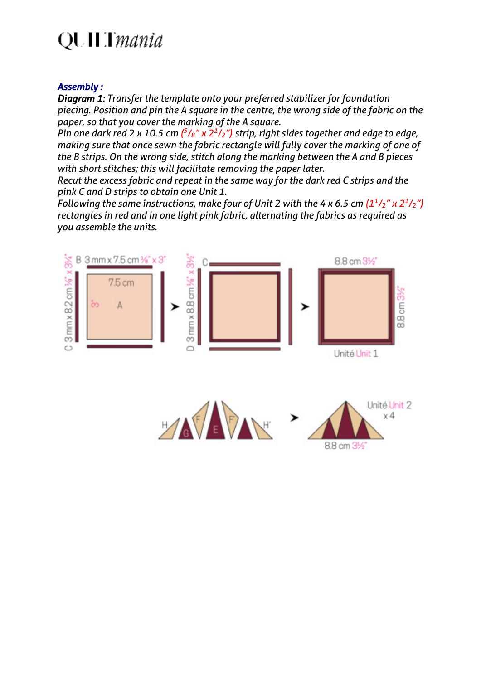# QUILT*mania*

### *Assembly :*

*Diagram 1: Transfer the template onto your preferred stabilizer for foundation piecing. Position and pin the A square in the centre, the wrong side of the fabric on the paper, so that you cover the marking of the A square.*

*Pin one dark red 2 x 10.5 cm*  $\binom{5}{8}$  *x 2<sup>1</sup>/<sub>2</sub>") strip, right sides together and edge to edge, making sure that once sewn the fabric rectangle will fully cover the marking of one of the B strips. On the wrong side, stitch along the marking between the A and B pieces with short stitches; this will facilitate removing the paper later.*

*Recut the excess fabric and repeat in the same way for the dark red C strips and the pink C and D strips to obtain one Unit 1.*

*Following the same instructions, make four of Unit 2 with the 4 x 6.5 cm*  $(1<sup>1</sup>/2<sup>''</sup> \times 2<sup>1</sup>/2<sup>"</sup>)$ *rectangles in red and in one light pink fabric, alternating the fabrics as required as you assemble the units.*